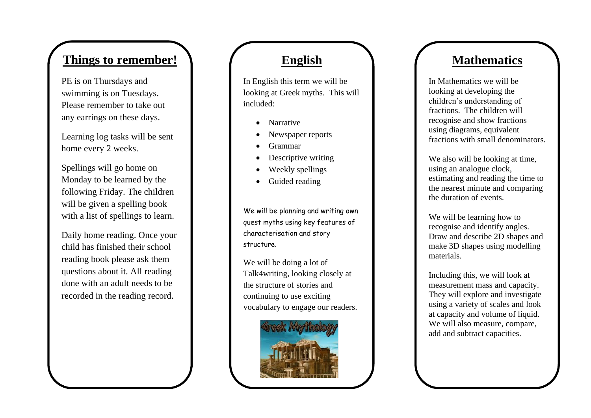# **Things to remember!**

PE is on Thursdays and swimming is on Tuesday s. Please remember to take out any earrings on these days .

Learning log tasks will be sent home every 2 weeks.

Spellings will go home on Monday to be learned by the following Friday. The children will be given a spelling book with a list of spellings to learn.

Daily home reading. Once your child has finished their school reading book please ask them questions about it. All reading done with an adult needs to be recorded in the reading record .

## **English**

In English this term we will be looking at Greek myths. This will included:

- Narrative
- Newspaper reports
- Grammar
- Descriptive writing
- Weekly spellings
- Guided reading

We will be planning and writing own quest myths using key features of characterisation and story structure .

We will be doing a lot of Talk4writing, looking closely at the structure of stories and continuing to use exciting vocabulary to engage our readers.



# **Mathematics**

In Mathematics we will be looking at developing the children's understanding of fractions. The children will recognise and show fractions using diagrams, equivalent fractions with small denominators.

We also will be looking at time. using an analogue clock, estimating and reading the time to the nearest minute and comparing the duration of events.

We will be learning how to recognise and identify angles. Draw and describe 2D shapes and make 3D shapes using modelling materials.

Including this, we will look at measurement mass and capacity. They will explore and investigate using a variety of scales and look at capacity and volume of liquid. We will also measure, compare, add and subtract capacities.